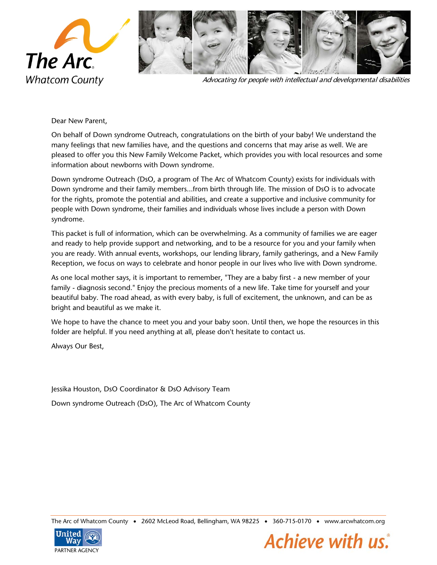

Advocating for people with intellectual and developmental disabilities

Dear New Parent,

On behalf of Down syndrome Outreach, congratulations on the birth of your baby! We understand the many feelings that new families have, and the questions and concerns that may arise as well. We are pleased to offer you this New Family Welcome Packet, which provides you with local resources and some information about newborns with Down syndrome.

Down syndrome Outreach (DsO, a program of The Arc of Whatcom County) exists for individuals with Down syndrome and their family members...from birth through life. The mission of DsO is to advocate for the rights, promote the potential and abilities, and create a supportive and inclusive community for people with Down syndrome, their families and individuals whose lives include a person with Down syndrome.

This packet is full of information, which can be overwhelming. As a community of families we are eager and ready to help provide support and networking, and to be a resource for you and your family when you are ready. With annual events, workshops, our lending library, family gatherings, and a New Family Reception, we focus on ways to celebrate and honor people in our lives who live with Down syndrome.

As one local mother says, it is important to remember, "They are a baby first - a new member of your family - diagnosis second." Enjoy the precious moments of a new life. Take time for yourself and your beautiful baby. The road ahead, as with every baby, is full of excitement, the unknown, and can be as bright and beautiful as we make it.

We hope to have the chance to meet you and your baby soon. Until then, we hope the resources in this folder are helpful. If you need anything at all, please don't hesitate to contact us.

Always Our Best,

Jessika Houston, DsO Coordinator & DsO Advisory Team Down syndrome Outreach (DsO), The Arc of Whatcom County

The Arc of Whatcom County • 2602 McLeod Road, Bellingham, WA 98225 • 360-715-0170 • www.arcwhatcom.org



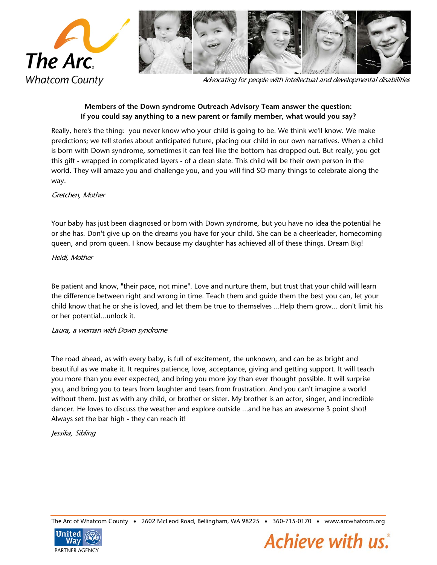

Advocating for people with intellectual and developmental disabilities

# **Members of the Down syndrome Outreach Advisory Team answer the question: If you could say anything to a new parent or family member, what would you say?**

Really, here's the thing: you never know who your child is going to be. We think we'll know. We make predictions; we tell stories about anticipated future, placing our child in our own narratives. When a child is born with Down syndrome, sometimes it can feel like the bottom has dropped out. But really, you get this gift - wrapped in complicated layers - of a clean slate. This child will be their own person in the world. They will amaze you and challenge you, and you will find SO many things to celebrate along the way.

## Gretchen, Mother

Your baby has just been diagnosed or born with Down syndrome, but you have no idea the potential he or she has. Don't give up on the dreams you have for your child. She can be a cheerleader, homecoming queen, and prom queen. I know because my daughter has achieved all of these things. Dream Big!

### Heidi, Mother

Be patient and know, "their pace, not mine". Love and nurture them, but trust that your child will learn the difference between right and wrong in time. Teach them and guide them the best you can, let your child know that he or she is loved, and let them be true to themselves ...Help them grow... don't limit his or her potential...unlock it.

### Laura, a woman with Down syndrome

The road ahead, as with every baby, is full of excitement, the unknown, and can be as bright and beautiful as we make it. It requires patience, love, acceptance, giving and getting support. It will teach you more than you ever expected, and bring you more joy than ever thought possible. It will surprise you, and bring you to tears from laughter and tears from frustration. And you can't imagine a world without them. Just as with any child, or brother or sister. My brother is an actor, singer, and incredible dancer. He loves to discuss the weather and explore outside ...and he has an awesome 3 point shot! Always set the bar high - they can reach it!

Jessika, Sibling

The Arc of Whatcom County • 2602 McLeod Road, Bellingham, WA 98225 • 360-715-0170 • www.arcwhatcom.org